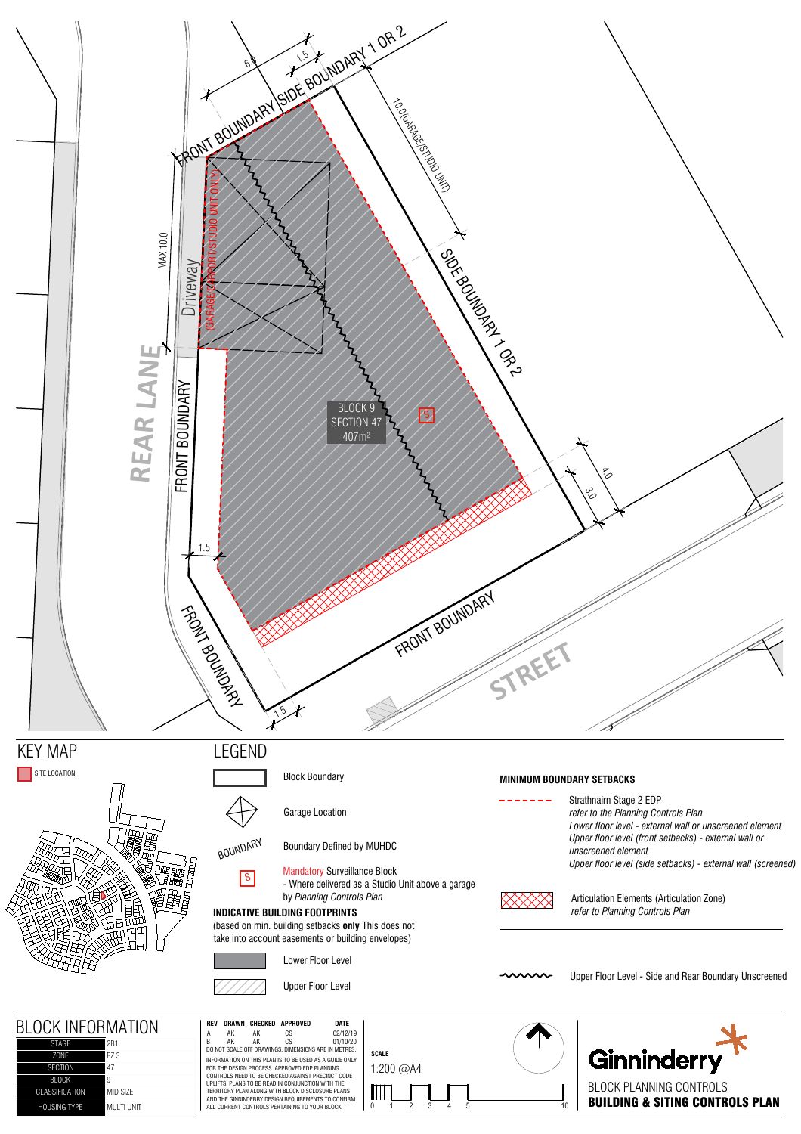